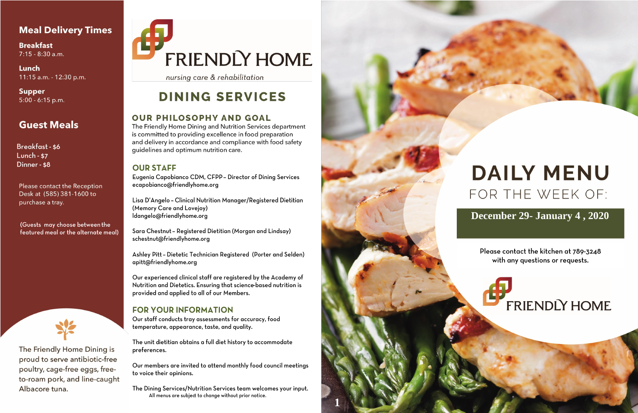## **Meal Delivery Times**

**Breakfast** 7:15 - 8:30 a.m.

Lunch 11:15 a.m. - 12:30 p.m.

**Supper**  $5:00 - 6:15$  p.m.

# **Guest Meals**

Breakfast - \$6 Lunch -  $$7$ Dinner - \$8

**Please contact the Reception** Desk at (585) 381-1600 to purchase a tray.

(Guests may choose between the featured meal or the alternate meal)



The Friendly Home Dining is proud to serve antibiotic-free poultry, cage-free eggs, freeto-roam pork, and line-caught Albacore tuna.

# **FRIENDLY HOME**

nursing care & rehabilitation

# **DINING SERVICES**

### **OUR PHILOSOPHY AND GOAL**

The Friendly Home Dining and Nutrition Services department is committed to providing excellence in food preparation and delivery in accordance and compliance with food safety guidelines and optimum nutrition care.

### **OUR STAFF**

Eugenia Capobianco CDM, CFPP - Director of Dining Services ecapobianco@friendlyhome.org

Lisa D'Angelo - Clinical Nutrition Manager/Registered Dietitian (Memory Care and Lovejoy) ldangelo@friendlyhome.org

Sara Chestnut - Registered Dietitian (Morgan and Lindsay) schestnut@friendlyhome.org

Ashley Pitt - Dietetic Technician Registered (Porter and Selden) apitt@friendlyhome.org

Our experienced clinical staff are registered by the Academy of Nutrition and Dietetics. Ensuring that science-based nutrition is provided and applied to all of our Members.

## **FOR YOUR INFORMATION**

Our staff conducts tray assessments for accuracy, food temperature, appearance, taste, and quality.

The unit dietitian obtains a full diet history to accommodate preferences.

Our members are invited to attend monthly food council meetings to voice their opinions.

The Dining Services/Nutrition Services team welcomes your input. All menus are subject to change without prior notice.



# **DAILY MENU** FOR THE WEEK OF:

# December 29- January 4, 2020

Please contact the kitchen at 789-3248 with any questions or requests.

# **FRIENDLY HOME**